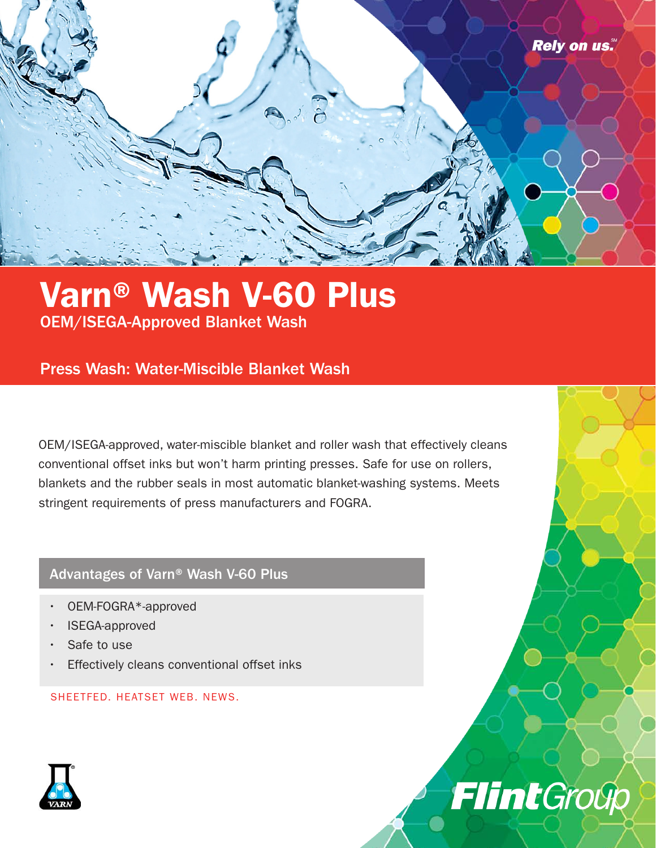

## Varn® Wash V-60 Plus OEM/ISEGA-Approved Blanket Wash

### Press Wash: Water-Miscible Blanket Wash

OEM/ISEGA-approved, water-miscible blanket and roller wash that effectively cleans conventional offset inks but won't harm printing presses. Safe for use on rollers, blankets and the rubber seals in most automatic blanket-washing systems. Meets stringent requirements of press manufacturers and FOGRA.

#### Advantages of Varn® Wash V-60 Plus

- OEM-FOGRA\*-approved
- ISEGA-approved
- Safe to use
- Effectively cleans conventional offset inks

SHEETFED. HEATSET WEB. NEWS.